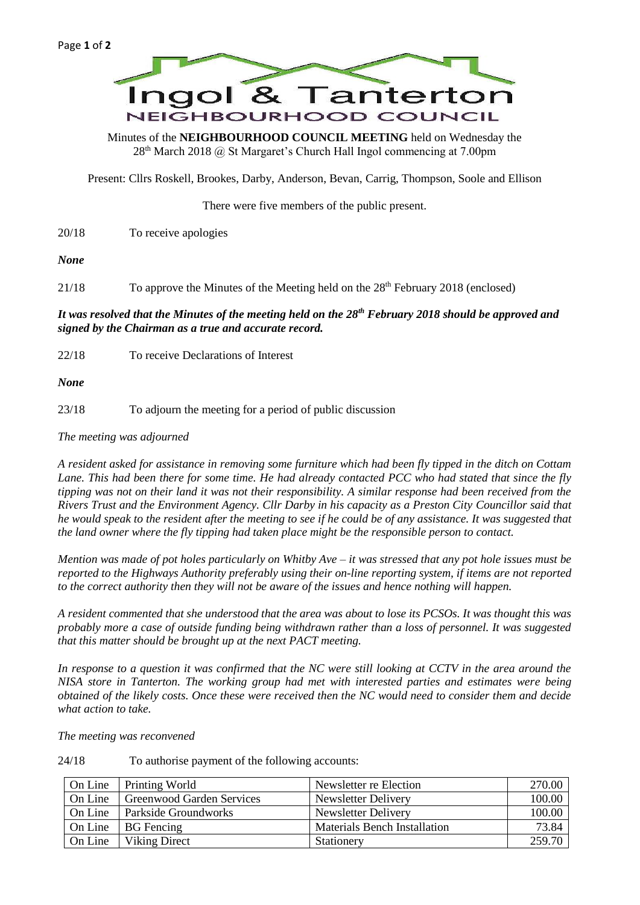

Minutes of the **NEIGHBOURHOOD COUNCIL MEETING** held on Wednesday the 28<sup>th</sup> March 2018 @ St Margaret's Church Hall Ingol commencing at 7.00pm

Present: Cllrs Roskell, Brookes, Darby, Anderson, Bevan, Carrig, Thompson, Soole and Ellison

There were five members of the public present.

20/18 To receive apologies

*None*

21/18 To approve the Minutes of the Meeting held on the 28<sup>th</sup> February 2018 (enclosed)

## *It was resolved that the Minutes of the meeting held on the 28th February 2018 should be approved and signed by the Chairman as a true and accurate record.*

22/18 To receive Declarations of Interest

*None*

23/18 To adjourn the meeting for a period of public discussion

*The meeting was adjourned*

*A resident asked for assistance in removing some furniture which had been fly tipped in the ditch on Cottam Lane. This had been there for some time. He had already contacted PCC who had stated that since the fly tipping was not on their land it was not their responsibility. A similar response had been received from the Rivers Trust and the Environment Agency. Cllr Darby in his capacity as a Preston City Councillor said that he would speak to the resident after the meeting to see if he could be of any assistance. It was suggested that the land owner where the fly tipping had taken place might be the responsible person to contact.*

*Mention was made of pot holes particularly on Whitby Ave – it was stressed that any pot hole issues must be reported to the Highways Authority preferably using their on-line reporting system, if items are not reported to the correct authority then they will not be aware of the issues and hence nothing will happen.*

*A resident commented that she understood that the area was about to lose its PCSOs. It was thought this was probably more a case of outside funding being withdrawn rather than a loss of personnel. It was suggested that this matter should be brought up at the next PACT meeting.*

*In response to a question it was confirmed that the NC were still looking at CCTV in the area around the NISA store in Tanterton. The working group had met with interested parties and estimates were being obtained of the likely costs. Once these were received then the NC would need to consider them and decide what action to take.*

*The meeting was reconvened*

|  | 24/18 | To authorise payment of the following accounts: |
|--|-------|-------------------------------------------------|
|--|-------|-------------------------------------------------|

| On Line | Printing World            | Newsletter re Election              | 270.00 |
|---------|---------------------------|-------------------------------------|--------|
| On Line | Greenwood Garden Services | Newsletter Delivery                 | 100.00 |
| On Line | Parkside Groundworks      | Newsletter Delivery                 | 100.00 |
| On Line | <b>BG</b> Fencing         | <b>Materials Bench Installation</b> | 73.84  |
| On Line | Viking Direct             | Stationery                          | 259.70 |